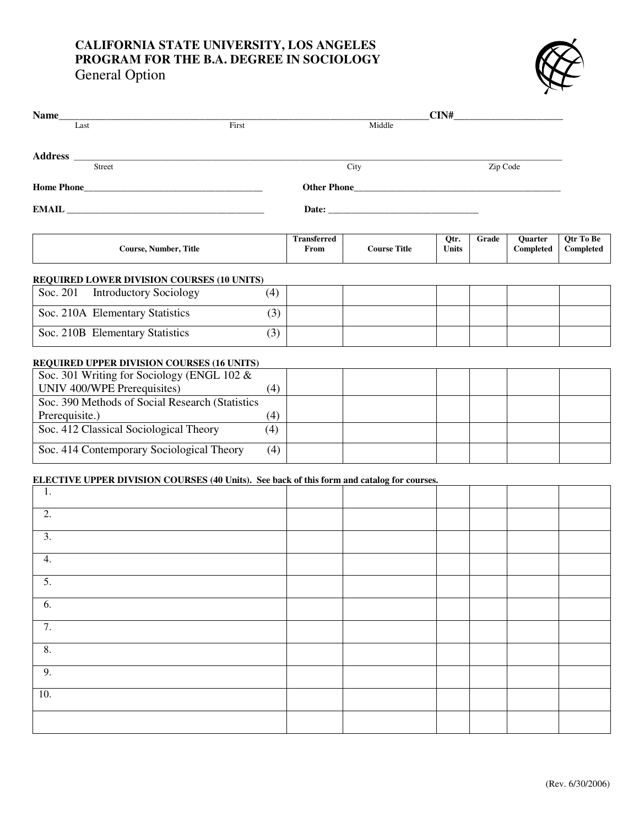## **CALIFORNIA STATE UNIVERSITY, LOS ANGELES PROGRAM FOR THE B.A. DEGREE IN SOCIOLOGY**

General Option



| Name                                                                                       | CIN# |                            |                     |                      |          |                      |                        |
|--------------------------------------------------------------------------------------------|------|----------------------------|---------------------|----------------------|----------|----------------------|------------------------|
| First<br>Last                                                                              |      |                            | Middle              |                      |          |                      |                        |
|                                                                                            |      |                            |                     |                      |          |                      |                        |
| Street                                                                                     |      | City                       |                     |                      | Zip Code |                      |                        |
|                                                                                            |      |                            |                     |                      |          |                      |                        |
|                                                                                            |      |                            |                     |                      |          |                      |                        |
| <b>Course, Number, Title</b>                                                               |      | <b>Transferred</b><br>From | <b>Course Title</b> | Qtr.<br><b>Units</b> | Grade    | Quarter<br>Completed | Qtr To Be<br>Completed |
| <b>REQUIRED LOWER DIVISION COURSES (10 UNITS)</b>                                          |      |                            |                     |                      |          |                      |                        |
| <b>Introductory Sociology</b><br>Soc. 201                                                  | (4)  |                            |                     |                      |          |                      |                        |
| Soc. 210A Elementary Statistics                                                            | (3)  |                            |                     |                      |          |                      |                        |
| Soc. 210B Elementary Statistics                                                            | (3)  |                            |                     |                      |          |                      |                        |
| <b>REQUIRED UPPER DIVISION COURSES (16 UNITS)</b>                                          |      |                            |                     |                      |          |                      |                        |
| Soc. 301 Writing for Sociology (ENGL 102 &                                                 |      |                            |                     |                      |          |                      |                        |
| UNIV 400/WPE Prerequisites)                                                                | (4)  |                            |                     |                      |          |                      |                        |
| Soc. 390 Methods of Social Research (Statistics                                            |      |                            |                     |                      |          |                      |                        |
| Prerequisite.)                                                                             | (4)  |                            |                     |                      |          |                      |                        |
| Soc. 412 Classical Sociological Theory                                                     | (4)  |                            |                     |                      |          |                      |                        |
| Soc. 414 Contemporary Sociological Theory                                                  | (4)  |                            |                     |                      |          |                      |                        |
| ELECTIVE UPPER DIVISION COURSES (40 Units). See back of this form and catalog for courses. |      |                            |                     |                      |          |                      |                        |
| 1.                                                                                         |      |                            |                     |                      |          |                      |                        |
| 2.                                                                                         |      |                            |                     |                      |          |                      |                        |
| 3.                                                                                         |      |                            |                     |                      |          |                      |                        |
| 4.                                                                                         |      |                            |                     |                      |          |                      |                        |
| 5.                                                                                         |      |                            |                     |                      |          |                      |                        |
| 6.                                                                                         |      |                            |                     |                      |          |                      |                        |
| 7.                                                                                         |      |                            |                     |                      |          |                      |                        |
| $\overline{8}$ .                                                                           |      |                            |                     |                      |          |                      |                        |
| 9.                                                                                         |      |                            |                     |                      |          |                      |                        |
| 10.                                                                                        |      |                            |                     |                      |          |                      |                        |
|                                                                                            |      |                            |                     |                      |          |                      |                        |